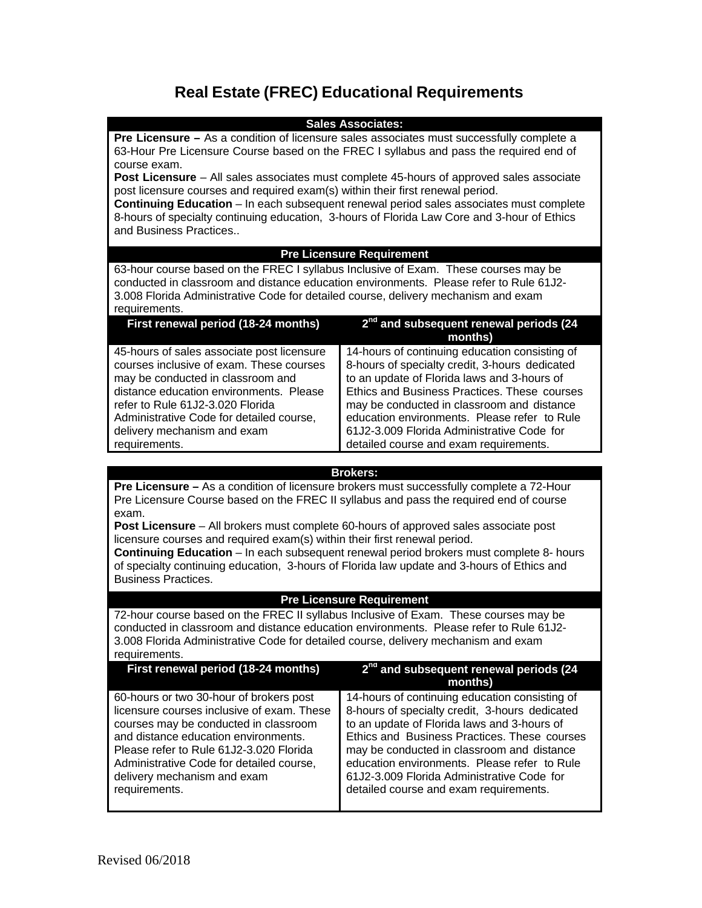# **Real Estate (FREC) Educational Requirements**

### **Sales Associates:**

**Pre Licensure –** As a condition of licensure sales associates must successfully complete a 63-Hour Pre Licensure Course based on the FREC I syllabus and pass the required end of course exam.

**Post Licensure** – All sales associates must complete 45-hours of approved sales associate post licensure courses and required exam(s) within their first renewal period.

**Continuing Education** – In each subsequent renewal period sales associates must complete 8-hours of specialty continuing education, 3-hours of Florida Law Core and 3-hour of Ethics and Business Practices..

## **Pre Licensure Requirement**

63-hour course based on the FREC I syllabus Inclusive of Exam. These courses may be conducted in classroom and distance education environments. Please refer to Rule 61J2- 3.008 Florida Administrative Code for detailed course, delivery mechanism and exam requirements.

| First renewal period (18-24 months)        | 2 <sup>nd</sup> and subsequent renewal periods (24<br>months) |
|--------------------------------------------|---------------------------------------------------------------|
| 45-hours of sales associate post licensure | 14-hours of continuing education consisting of                |
| courses inclusive of exam. These courses   | 8-hours of specialty credit, 3-hours dedicated                |
| may be conducted in classroom and          | to an update of Florida laws and 3-hours of                   |
| distance education environments. Please    | Ethics and Business Practices. These courses                  |
| refer to Rule 61J2-3.020 Florida           | may be conducted in classroom and distance                    |
| Administrative Code for detailed course,   | education environments. Please refer to Rule                  |
| delivery mechanism and exam                | 61J2-3.009 Florida Administrative Code for                    |
| requirements.                              | detailed course and exam requirements.                        |

### **Brokers:**

**Pre Licensure –** As a condition of licensure brokers must successfully complete a 72-Hour Pre Licensure Course based on the FREC II syllabus and pass the required end of course exam.

**Post Licensure** – All brokers must complete 60-hours of approved sales associate post licensure courses and required exam(s) within their first renewal period.

**Continuing Education** – In each subsequent renewal period brokers must complete 8- hours of specialty continuing education, 3-hours of Florida law update and 3-hours of Ethics and Business Practices.

## **Pre Licensure Requirement**

72-hour course based on the FREC II syllabus Inclusive of Exam. These courses may be conducted in classroom and distance education environments. Please refer to Rule 61J2- 3.008 Florida Administrative Code for detailed course, delivery mechanism and exam requirements.

| First renewal period (18-24 months)        | 2 <sup>nd</sup> and subsequent renewal periods (24<br>months) |
|--------------------------------------------|---------------------------------------------------------------|
| 60-hours or two 30-hour of brokers post    | 14-hours of continuing education consisting of                |
| licensure courses inclusive of exam. These | 8-hours of specialty credit, 3-hours dedicated                |
| courses may be conducted in classroom      | to an update of Florida laws and 3-hours of                   |
| and distance education environments.       | Ethics and Business Practices. These courses                  |
| Please refer to Rule 61J2-3.020 Florida    | may be conducted in classroom and distance                    |
| Administrative Code for detailed course,   | education environments. Please refer to Rule                  |
| delivery mechanism and exam                | 61J2-3.009 Florida Administrative Code for                    |
| requirements.                              | detailed course and exam requirements.                        |